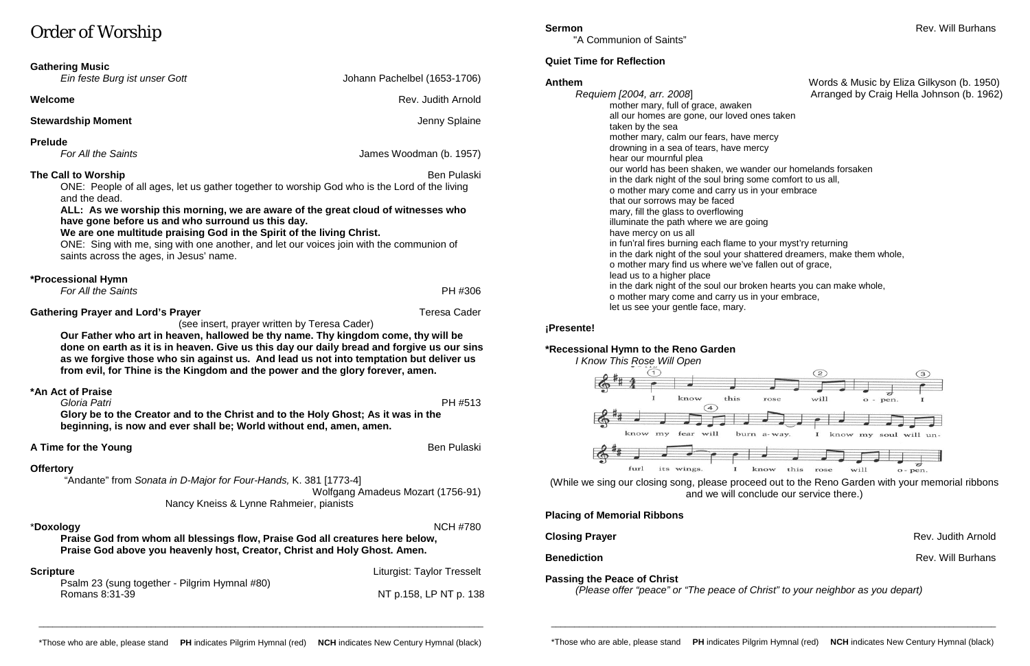# Order of Worship

| <b>Gathering Music</b>                                                                                                                                                                                                                                                                                                                                                                                      |                                   |  |
|-------------------------------------------------------------------------------------------------------------------------------------------------------------------------------------------------------------------------------------------------------------------------------------------------------------------------------------------------------------------------------------------------------------|-----------------------------------|--|
| Ein feste Burg ist unser Gott                                                                                                                                                                                                                                                                                                                                                                               | Johann Pachelbel (1653-1706)      |  |
| Welcome                                                                                                                                                                                                                                                                                                                                                                                                     | Rev. Judith Arnold                |  |
| <b>Stewardship Moment</b>                                                                                                                                                                                                                                                                                                                                                                                   | Jenny Splaine                     |  |
| <b>Prelude</b><br>For All the Saints                                                                                                                                                                                                                                                                                                                                                                        | James Woodman (b. 1957)           |  |
| The Call to Worship<br>ONE: People of all ages, let us gather together to worship God who is the Lord of the living<br>and the dead.                                                                                                                                                                                                                                                                        | <b>Ben Pulaski</b>                |  |
| ALL: As we worship this morning, we are aware of the great cloud of witnesses who<br>have gone before us and who surround us this day.<br>We are one multitude praising God in the Spirit of the living Christ.<br>ONE: Sing with me, sing with one another, and let our voices join with the communion of<br>saints across the ages, in Jesus' name.                                                       |                                   |  |
| *Processional Hymn<br>For All the Saints                                                                                                                                                                                                                                                                                                                                                                    | PH #306                           |  |
| <b>Gathering Prayer and Lord's Prayer</b>                                                                                                                                                                                                                                                                                                                                                                   | <b>Teresa Cader</b>               |  |
| (see insert, prayer written by Teresa Cader)<br>Our Father who art in heaven, hallowed be thy name. Thy kingdom come, thy will be<br>done on earth as it is in heaven. Give us this day our daily bread and forgive us our sins<br>as we forgive those who sin against us. And lead us not into temptation but deliver us<br>from evil, for Thine is the Kingdom and the power and the glory forever, amen. |                                   |  |
| *An Act of Praise                                                                                                                                                                                                                                                                                                                                                                                           |                                   |  |
| Gloria Patri<br>Glory be to the Creator and to the Christ and to the Holy Ghost; As it was in the<br>beginning, is now and ever shall be; World without end, amen, amen.                                                                                                                                                                                                                                    | PH #513                           |  |
| A Time for the Young                                                                                                                                                                                                                                                                                                                                                                                        | <b>Ben Pulaski</b>                |  |
| <b>Offertory</b><br>"Andante" from Sonata in D-Major for Four-Hands, K. 381 [1773-4]                                                                                                                                                                                                                                                                                                                        |                                   |  |
| Nancy Kneiss & Lynne Rahmeier, pianists                                                                                                                                                                                                                                                                                                                                                                     | Wolfgang Amadeus Mozart (1756-91) |  |
| *Doxology                                                                                                                                                                                                                                                                                                                                                                                                   | <b>NCH #780</b>                   |  |

**Praise God from whom all blessings flow, Praise God all creatures here below, Praise God above you heavenly host, Creator, Christ and Holy Ghost. Amen.**

| Scripture                                     | Liturgist: Taylor Tresselt |
|-----------------------------------------------|----------------------------|
| Psalm 23 (sung together - Pilgrim Hymnal #80) |                            |
| Romans 8:31-39                                | NT p.158, LP NT p. 138     |
|                                               |                            |

"A Communion of Saints"

## **Quiet Time for Reflection**

*Requiem [2004, arr. 2008*] Arranged by Craig Hella Johnson (b. 1962) mother mary, full of grace, awaken all our homes are gone, our loved ones taken taken by the sea mother mary, calm our fears, have mercy drowning in a sea of tears, have mercy hear our mournful plea our world has been shaken, we wander our homelands forsaken in the dark night of the soul bring some comfort to us all, o mother mary come and carry us in your embrace that our sorrows may be faced mary, fill the glass to overflowing illuminate the path where we are going have mercy on us all in fun'ral fires burning each flame to your myst'ry returning in the dark night of the soul your shattered dreamers, make them whole, o mother mary find us where we've fallen out of grace, lead us to a higher place in the dark night of the soul our broken hearts you can make whole, o mother mary come and carry us in your embrace, let us see your gentle face, mary.

## **¡Presente!**

## **\*Recessional Hymn to the Reno Garden**

*I Know This Rose Will Open*



(While we sing our closing song, please proceed out to the Reno Garden with your memorial ribbons and we will conclude our service there.)

## **Placing of Memorial Ribbons**

## **Passing the Peace of Christ**

*(Please offer "peace" or "The peace of Christ" to your neighbor as you depart)*

\_\_\_\_\_\_\_\_\_\_\_\_\_\_\_\_\_\_\_\_\_\_\_\_\_\_\_\_\_\_\_\_\_\_\_\_\_\_\_\_\_\_\_\_\_\_\_\_\_\_\_\_\_\_\_\_\_\_\_\_\_\_\_\_\_\_\_\_\_\_\_\_\_\_\_\_\_\_\_\_\_\_\_\_\_\_\_\_\_\_\_\_\_\_\_

\_\_\_\_\_\_\_\_\_\_\_\_\_\_\_\_\_\_\_\_\_\_\_\_\_\_\_\_\_\_\_\_\_\_\_\_\_\_\_\_\_\_\_\_\_\_\_\_\_\_\_\_\_\_\_\_\_\_\_\_\_\_\_\_\_\_\_\_\_\_\_\_\_\_\_\_\_\_\_\_\_\_\_\_\_\_\_\_\_\_\_\_\_\_\_

# Anthem **Anthem Anthem Words & Music by Eliza Gilkyson (b. 1950)**

**Closing Prayer Contract Arrangement Closing Prayer Arrangement Closing Prayer Arrangement Closing Prayer Arrangement Closing Arrangement Closing Arrangement Closing Arrangement Closing Arrangement Closing Arrangement Clos Benediction** Rev. Will Burhans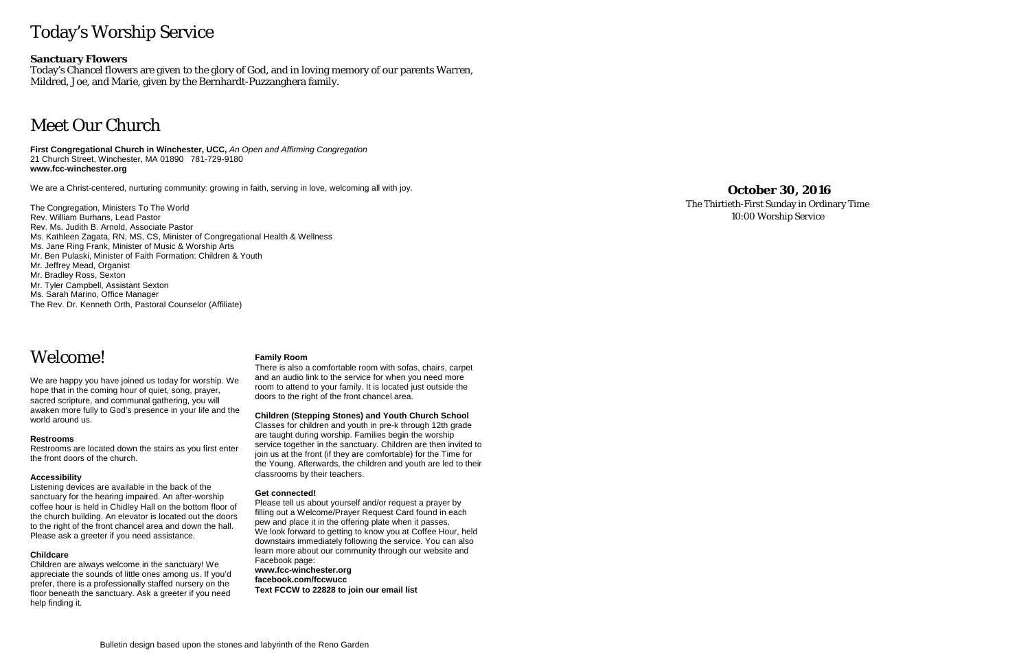# Today's Worship Service

### **Sanctuary Flowers**

Today's Chancel flowers are given to the glory of God, and in loving memory of our parents Warren, Mildred, Joe, and Marie, given by the Bernhardt-Puzzanghera family.

# Meet Our Church

**First Congregational Church in Winchester, UCC,** *An Open and Affirming Congregation* 21 Church Street, Winchester, MA 01890 781-729-9180 **www.fcc-winchester.org**

We are a Christ-centered, nurturing community: growing in faith, serving in love, welcoming all with joy.

The Congregation, Ministers To The World Rev. William Burhans, Lead Pastor Rev. Ms. Judith B. Arnold, Associate Pastor Ms. Kathleen Zagata, RN, MS, CS, Minister of Congregational Health & Wellness Ms. Jane Ring Frank, Minister of Music & Worship Arts Mr. Ben Pulaski, Minister of Faith Formation: Children & Youth Mr. Jeffrey Mead, Organist Mr. Bradley Ross, Sexton Mr. Tyler Campbell, Assistant Sexton Ms. Sarah Marino, Office Manager The Rev. Dr. Kenneth Orth, Pastoral Counselor (Affiliate)

## Welcome!

We are happy you have joined us today for worship. We hope that in the coming hour of quiet, song, prayer, sacred scripture, and communal gathering, you will awaken more fully to God's presence in your life and the world around us.

### **Restrooms**

Restrooms are located down the stairs as you first enter the front doors of the church.

### **Accessibility**

Listening devices are available in the back of the sanctuary for the hearing impaired. An after-worship coffee hour is held in Chidley Hall on the bottom floor of the church building. An elevator is located out the doors to the right of the front chancel area and down the hall. Please ask a greeter if you need assistance.

### **Childcare**

Children are always welcome in the sanctuary! We appreciate the sounds of little ones among us. If you'd prefer, there is a professionally staffed nursery on the floor beneath the sanctuary. Ask a greeter if you need help finding it.

### **Family Room**

There is also a comfortable room with sofas, chairs, carpet and an audio link to the service for when you need more room to attend to your family. It is located just outside the doors to the right of the front chancel area.

### **Children (Stepping Stones) and Youth Church School**

Classes for children and youth in pre-k through 12th grade are taught during worship. Families begin the worship service together in the sanctuary. Children are then invited to join us at the front (if they are comfortable) for the Time for the Young. Afterwards, the children and youth are led to their classrooms by their teachers.

#### **Get connected!**

Please tell us about yourself and/or request a prayer by filling out a Welcome/Prayer Request Card found in each pew and place it in the offering plate when it passes. We look forward to getting to know you at Coffee Hour, held downstairs immediately following the service. You can also learn more about our community through our website and Facebook page: **www.fcc-winchester.org facebook.com/fccwucc**

**Text FCCW to 22828 to join our email list**

## **October 30, 2016**

The Thirtieth-First Sunday in Ordinary Time 10:00 Worship Service